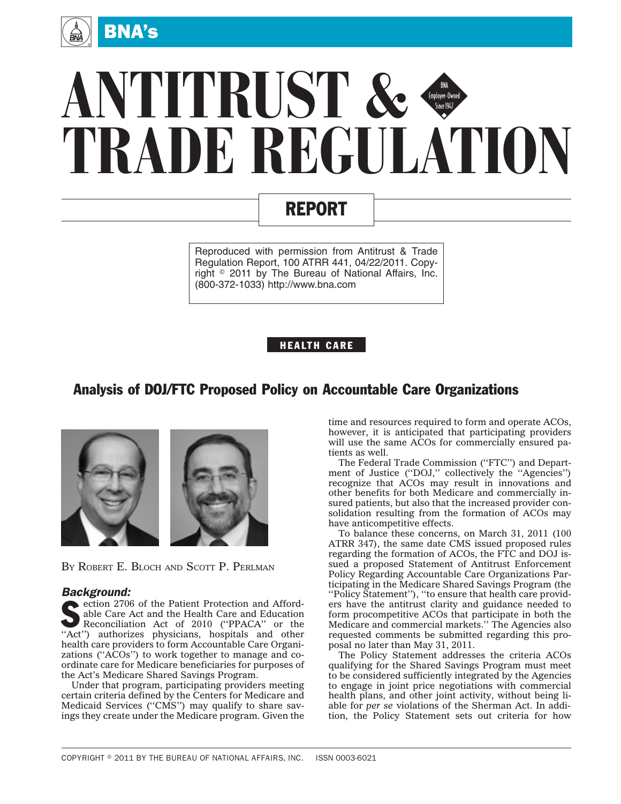

# **ANTITRUST & TRADE REGULATION** Employee-Owned<br>Since 1947

# REPORT

Reproduced with permission from Antitrust & Trade Regulation Report, 100 ATRR 441, 04/22/2011. Copyright © 2011 by The Bureau of National Affairs, Inc. (800-372-1033) http://www.bna.com

### HEALTH CARE

## Analysis of DOJ/FTC Proposed Policy on Accountable Care Organizations



BY ROBERT E. BLOCH AND SCOTT P. PERLMAN

#### *Background:*

ection 2706 of the Patient Protection and Affordable Care Act and the Health Care and Education Reconciliation Act of 2010 (''PPACA'' or the "Act") authorizes physicians, hospitals and other health care providers to form Accountable Care Organizations (''ACOs'') to work together to manage and coordinate care for Medicare beneficiaries for purposes of the Act's Medicare Shared Savings Program.

Under that program, participating providers meeting certain criteria defined by the Centers for Medicare and Medicaid Services ("CMS") may qualify to share savings they create under the Medicare program. Given the

time and resources required to form and operate ACOs, however, it is anticipated that participating providers will use the same ACOs for commercially ensured patients as well.

The Federal Trade Commission ("FTC") and Department of Justice ("DOJ," collectively the "Agencies") recognize that ACOs may result in innovations and other benefits for both Medicare and commercially insured patients, but also that the increased provider consolidation resulting from the formation of ACOs may have anticompetitive effects.

To balance these concerns, on March 31, 2011 (100 ATRR 347), the same date CMS issued proposed rules regarding the formation of ACOs, the FTC and DOJ issued a proposed Statement of Antitrust Enforcement Policy Regarding Accountable Care Organizations Participating in the Medicare Shared Savings Program (the ''Policy Statement''), ''to ensure that health care providers have the antitrust clarity and guidance needed to form procompetitive ACOs that participate in both the Medicare and commercial markets.'' The Agencies also requested comments be submitted regarding this proposal no later than May 31, 2011.

The Policy Statement addresses the criteria ACOs qualifying for the Shared Savings Program must meet to be considered sufficiently integrated by the Agencies to engage in joint price negotiations with commercial health plans, and other joint activity, without being liable for *per se* violations of the Sherman Act. In addition, the Policy Statement sets out criteria for how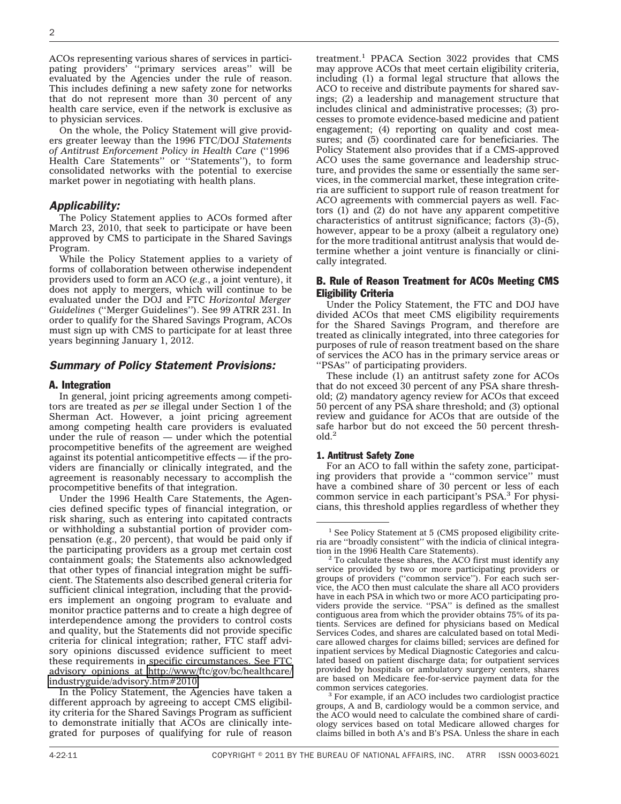ACOs representing various shares of services in participating providers' "primary services areas" will be evaluated by the Agencies under the rule of reason. This includes defining a new safety zone for networks that do not represent more than 30 percent of any health care service, even if the network is exclusive as to physician services.

On the whole, the Policy Statement will give providers greater leeway than the 1996 FTC/DOJ *Statements of Antitrust Enforcement Policy in Health Care* (''1996 Health Care Statements'' or ''Statements''), to form consolidated networks with the potential to exercise market power in negotiating with health plans.

#### *Applicability:*

The Policy Statement applies to ACOs formed after March 23, 2010, that seek to participate or have been approved by CMS to participate in the Shared Savings Program.

While the Policy Statement applies to a variety of forms of collaboration between otherwise independent providers used to form an ACO (*e.g.*, a joint venture), it does not apply to mergers, which will continue to be evaluated under the DOJ and FTC *Horizontal Merger Guidelines* (''Merger Guidelines''). See 99 ATRR 231. In order to qualify for the Shared Savings Program, ACOs must sign up with CMS to participate for at least three years beginning January 1, 2012.

#### *Summary of Policy Statement Provisions:*

#### A. Integration

In general, joint pricing agreements among competitors are treated as *per se* illegal under Section 1 of the Sherman Act. However, a joint pricing agreement among competing health care providers is evaluated under the rule of reason — under which the potential procompetitive benefits of the agreement are weighed against its potential anticompetitive effects — if the providers are financially or clinically integrated, and the agreement is reasonably necessary to accomplish the procompetitive benefits of that integration.

Under the 1996 Health Care Statements, the Agencies defined specific types of financial integration, or risk sharing, such as entering into capitated contracts or withholding a substantial portion of provider compensation (e.g., 20 percent), that would be paid only if the participating providers as a group met certain cost containment goals; the Statements also acknowledged that other types of financial integration might be sufficient. The Statements also described general criteria for sufficient clinical integration, including that the providers implement an ongoing program to evaluate and monitor practice patterns and to create a high degree of interdependence among the providers to control costs and quality, but the Statements did not provide specific criteria for clinical integration; rather, FTC staff advisory opinions discussed evidence sufficient to meet these requirements in specific circumstances. See FTC advisory opinions at [http://www/ftc/gov/bc/healthcare/](http://www/ftc/gov/bc/healthcare/industryguide/advisory.htm#2010) [industryguide/advisory.htm#2010.](http://www/ftc/gov/bc/healthcare/industryguide/advisory.htm#2010)

In the Policy Statement, the Agencies have taken a different approach by agreeing to accept CMS eligibility criteria for the Shared Savings Program as sufficient to demonstrate initially that ACOs are clinically integrated for purposes of qualifying for rule of reason

treatment.<sup>1</sup> PPACA Section 3022 provides that CMS may approve ACOs that meet certain eligibility criteria, including (1) a formal legal structure that allows the ACO to receive and distribute payments for shared savings; (2) a leadership and management structure that includes clinical and administrative processes; (3) processes to promote evidence-based medicine and patient engagement; (4) reporting on quality and cost measures; and (5) coordinated care for beneficiaries. The Policy Statement also provides that if a CMS-approved ACO uses the same governance and leadership structure, and provides the same or essentially the same services, in the commercial market, these integration criteria are sufficient to support rule of reason treatment for ACO agreements with commercial payers as well. Factors (1) and (2) do not have any apparent competitive characteristics of antitrust significance; factors (3)-(5), however, appear to be a proxy (albeit a regulatory one) for the more traditional antitrust analysis that would determine whether a joint venture is financially or clinically integrated.

#### B. Rule of Reason Treatment for ACOs Meeting CMS Eligibility Criteria

Under the Policy Statement, the FTC and DOJ have divided ACOs that meet CMS eligibility requirements for the Shared Savings Program, and therefore are treated as clinically integrated, into three categories for purposes of rule of reason treatment based on the share of services the ACO has in the primary service areas or "PSAs" of participating providers.

These include (1) an antitrust safety zone for ACOs that do not exceed 30 percent of any PSA share threshold; (2) mandatory agency review for ACOs that exceed 50 percent of any PSA share threshold; and (3) optional review and guidance for ACOs that are outside of the safe harbor but do not exceed the 50 percent threshold.2

#### 1. Antitrust Safety Zone

For an ACO to fall within the safety zone, participating providers that provide a ''common service'' must have a combined share of 30 percent or less of each common service in each participant's PSA.3 For physicians, this threshold applies regardless of whether they

<sup>&</sup>lt;sup>1</sup> See Policy Statement at 5 (CMS proposed eligibility criteria are ''broadly consistent'' with the indicia of clinical integra-

 $12$ <sup>2</sup> To calculate these shares, the ACO first must identify any service provided by two or more participating providers or groups of providers (''common service''). For each such service, the ACO then must calculate the share all ACO providers have in each PSA in which two or more ACO participating providers provide the service. ''PSA'' is defined as the smallest contiguous area from which the provider obtains 75% of its patients. Services are defined for physicians based on Medical Services Codes, and shares are calculated based on total Medicare allowed charges for claims billed; services are defined for inpatient services by Medical Diagnostic Categories and calculated based on patient discharge data; for outpatient services provided by hospitals or ambulatory surgery centers, shares are based on Medicare fee-for-service payment data for the

common services categories. <sup>3</sup> For example, if an ACO includes two cardiologist practice groups, A and B, cardiology would be a common service, and the ACO would need to calculate the combined share of cardiology services based on total Medicare allowed charges for claims billed in both A's and B's PSA. Unless the share in each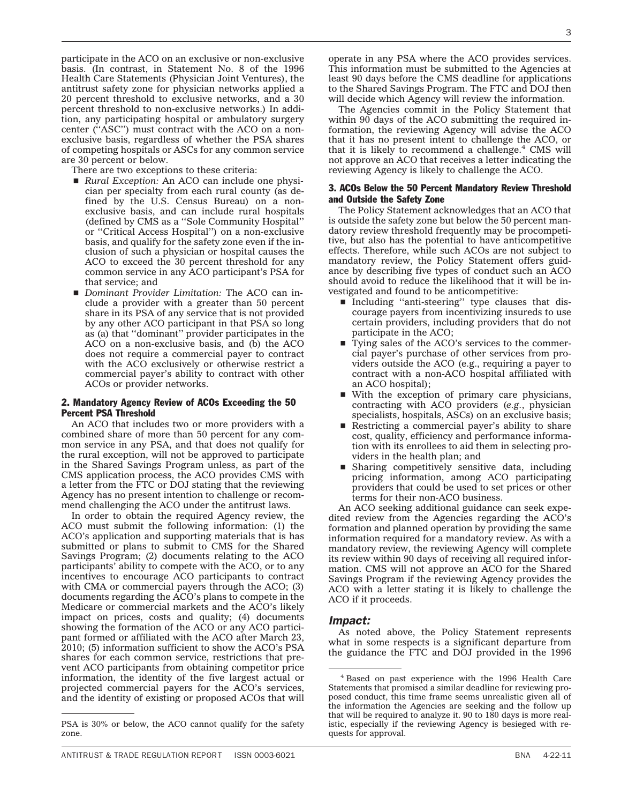participate in the ACO on an exclusive or non-exclusive basis. (In contrast, in Statement No. 8 of the 1996 Health Care Statements (Physician Joint Ventures), the antitrust safety zone for physician networks applied a 20 percent threshold to exclusive networks, and a 30 percent threshold to non-exclusive networks.) In addition, any participating hospital or ambulatory surgery center (''ASC'') must contract with the ACO on a nonexclusive basis, regardless of whether the PSA shares of competing hospitals or ASCs for any common service are 30 percent or below.

There are two exceptions to these criteria:

- *Rural Exception:* An ACO can include one physician per specialty from each rural county (as defined by the U.S. Census Bureau) on a nonexclusive basis, and can include rural hospitals (defined by CMS as a ''Sole Community Hospital'' or ''Critical Access Hospital'') on a non-exclusive basis, and qualify for the safety zone even if the inclusion of such a physician or hospital causes the ACO to exceed the 30 percent threshold for any common service in any ACO participant's PSA for that service; and
- *Dominant Provider Limitation:* The ACO can include a provider with a greater than 50 percent share in its PSA of any service that is not provided by any other ACO participant in that PSA so long as (a) that ''dominant'' provider participates in the ACO on a non-exclusive basis, and (b) the ACO does not require a commercial payer to contract with the ACO exclusively or otherwise restrict a commercial payer's ability to contract with other ACOs or provider networks.

#### 2. Mandatory Agency Review of ACOs Exceeding the 50 Percent PSA Threshold

An ACO that includes two or more providers with a combined share of more than 50 percent for any common service in any PSA, and that does not qualify for the rural exception, will not be approved to participate in the Shared Savings Program unless, as part of the CMS application process, the ACO provides CMS with a letter from the FTC or DOJ stating that the reviewing Agency has no present intention to challenge or recommend challenging the ACO under the antitrust laws.

In order to obtain the required Agency review, the ACO must submit the following information: (1) the ACO's application and supporting materials that is has submitted or plans to submit to CMS for the Shared Savings Program; (2) documents relating to the ACO participants' ability to compete with the ACO, or to any incentives to encourage ACO participants to contract with CMA or commercial payers through the ACO; (3) documents regarding the ACO's plans to compete in the Medicare or commercial markets and the ACO's likely impact on prices, costs and quality; (4) documents showing the formation of the ACO or any ACO participant formed or affiliated with the ACO after March 23, 2010; (5) information sufficient to show the ACO's PSA shares for each common service, restrictions that prevent ACO participants from obtaining competitor price information, the identity of the five largest actual or projected commercial payers for the ACO's services, and the identity of existing or proposed ACOs that will

operate in any PSA where the ACO provides services. This information must be submitted to the Agencies at least 90 days before the CMS deadline for applications to the Shared Savings Program. The FTC and DOJ then will decide which Agency will review the information.

The Agencies commit in the Policy Statement that within 90 days of the ACO submitting the required information, the reviewing Agency will advise the ACO that it has no present intent to challenge the ACO, or that it is likely to recommend a challenge. $4 \text{ CMS}$  will not approve an ACO that receives a letter indicating the reviewing Agency is likely to challenge the ACO.

#### 3. ACOs Below the 50 Percent Mandatory Review Threshold and Outside the Safety Zone

The Policy Statement acknowledges that an ACO that is outside the safety zone but below the 50 percent mandatory review threshold frequently may be procompetitive, but also has the potential to have anticompetitive effects. Therefore, while such ACOs are not subject to mandatory review, the Policy Statement offers guidance by describing five types of conduct such an ACO should avoid to reduce the likelihood that it will be investigated and found to be anticompetitive:

- Including "anti-steering" type clauses that discourage payers from incentivizing insureds to use certain providers, including providers that do not participate in the ACO;
- Tying sales of the ACO's services to the commercial payer's purchase of other services from providers outside the ACO (e.g., requiring a payer to contract with a non-ACO hospital affiliated with an ACO hospital);
- With the exception of primary care physicians, contracting with ACO providers (*e.g.*, physician specialists, hospitals, ASCs) on an exclusive basis;
- Restricting a commercial payer's ability to share cost, quality, efficiency and performance information with its enrollees to aid them in selecting providers in the health plan; and
- **s** Sharing competitively sensitive data, including pricing information, among ACO participating providers that could be used to set prices or other terms for their non-ACO business.

An ACO seeking additional guidance can seek expedited review from the Agencies regarding the ACO's formation and planned operation by providing the same information required for a mandatory review. As with a mandatory review, the reviewing Agency will complete its review within 90 days of receiving all required information. CMS will not approve an ACO for the Shared Savings Program if the reviewing Agency provides the ACO with a letter stating it is likely to challenge the ACO if it proceeds.

#### *Impact:*

As noted above, the Policy Statement represents what in some respects is a significant departure from the guidance the FTC and DOJ provided in the 1996

PSA is 30% or below, the ACO cannot qualify for the safety zone.

<sup>4</sup> Based on past experience with the 1996 Health Care Statements that promised a similar deadline for reviewing proposed conduct, this time frame seems unrealistic given all of the information the Agencies are seeking and the follow up that will be required to analyze it. 90 to 180 days is more realistic, especially if the reviewing Agency is besieged with requests for approval.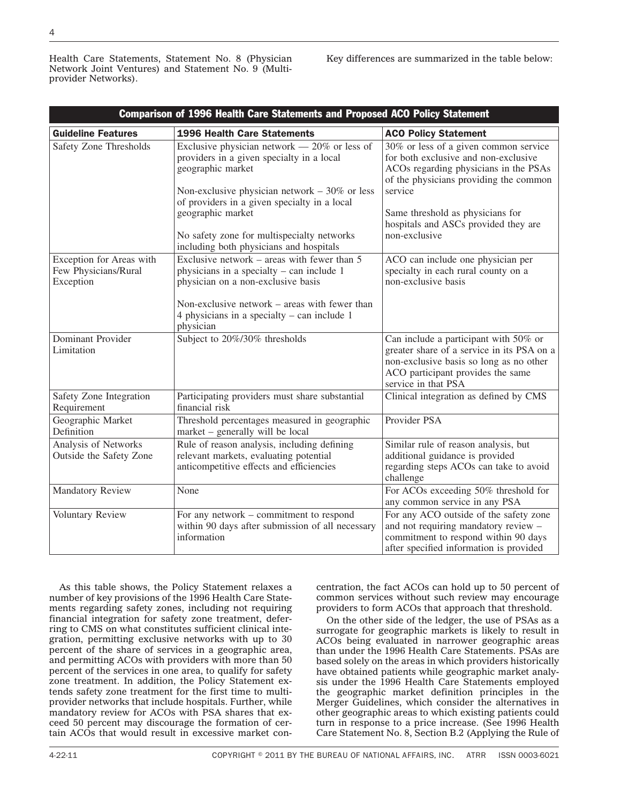Health Care Statements, Statement No. 8 (Physician Network Joint Ventures) and Statement No. 9 (Multiprovider Networks).

Key differences are summarized in the table below:

| <b>Comparison of 1996 Health Care Statements and Proposed ACO Policy Statement</b> |                                                                                                                                                                                                                                          |                                                                                                                                                                                                                                                         |
|------------------------------------------------------------------------------------|------------------------------------------------------------------------------------------------------------------------------------------------------------------------------------------------------------------------------------------|---------------------------------------------------------------------------------------------------------------------------------------------------------------------------------------------------------------------------------------------------------|
| <b>Guideline Features</b>                                                          | <b>1996 Health Care Statements</b>                                                                                                                                                                                                       | <b>ACO Policy Statement</b>                                                                                                                                                                                                                             |
| <b>Safety Zone Thresholds</b>                                                      | Exclusive physician network $-20\%$ or less of<br>providers in a given specialty in a local<br>geographic market<br>Non-exclusive physician network $-30\%$ or less<br>of providers in a given specialty in a local<br>geographic market | 30% or less of a given common service<br>for both exclusive and non-exclusive<br>ACOs regarding physicians in the PSAs<br>of the physicians providing the common<br>service<br>Same threshold as physicians for<br>hospitals and ASCs provided they are |
|                                                                                    | No safety zone for multispecialty networks<br>including both physicians and hospitals                                                                                                                                                    | non-exclusive                                                                                                                                                                                                                                           |
| Exception for Areas with<br>Few Physicians/Rural<br>Exception                      | Exclusive network – areas with fewer than $5$<br>physicians in a specialty $-$ can include 1<br>physician on a non-exclusive basis<br>Non-exclusive network – areas with fewer than                                                      | ACO can include one physician per<br>specialty in each rural county on a<br>non-exclusive basis                                                                                                                                                         |
|                                                                                    | 4 physicians in a specialty $-$ can include 1<br>physician                                                                                                                                                                               |                                                                                                                                                                                                                                                         |
| Dominant Provider<br>Limitation                                                    | Subject to 20%/30% thresholds                                                                                                                                                                                                            | Can include a participant with 50% or<br>greater share of a service in its PSA on a<br>non-exclusive basis so long as no other<br>ACO participant provides the same<br>service in that PSA                                                              |
| Safety Zone Integration<br>Requirement                                             | Participating providers must share substantial<br>financial risk                                                                                                                                                                         | Clinical integration as defined by CMS                                                                                                                                                                                                                  |
| Geographic Market<br>Definition                                                    | Threshold percentages measured in geographic<br>market - generally will be local                                                                                                                                                         | Provider PSA                                                                                                                                                                                                                                            |
| Analysis of Networks<br>Outside the Safety Zone                                    | Rule of reason analysis, including defining<br>relevant markets, evaluating potential<br>anticompetitive effects and efficiencies                                                                                                        | Similar rule of reason analysis, but<br>additional guidance is provided<br>regarding steps ACOs can take to avoid<br>challenge                                                                                                                          |
| <b>Mandatory Review</b>                                                            | None                                                                                                                                                                                                                                     | For ACOs exceeding 50% threshold for<br>any common service in any PSA                                                                                                                                                                                   |
| Voluntary Review                                                                   | For any network – commitment to respond<br>within 90 days after submission of all necessary<br>information                                                                                                                               | For any ACO outside of the safety zone<br>and not requiring mandatory review -<br>commitment to respond within 90 days<br>after specified information is provided                                                                                       |

As this table shows, the Policy Statement relaxes a number of key provisions of the 1996 Health Care Statements regarding safety zones, including not requiring financial integration for safety zone treatment, deferring to CMS on what constitutes sufficient clinical integration, permitting exclusive networks with up to 30 percent of the share of services in a geographic area, and permitting ACOs with providers with more than 50 percent of the services in one area, to qualify for safety zone treatment. In addition, the Policy Statement extends safety zone treatment for the first time to multiprovider networks that include hospitals. Further, while mandatory review for ACOs with PSA shares that exceed 50 percent may discourage the formation of certain ACOs that would result in excessive market concentration, the fact ACOs can hold up to 50 percent of common services without such review may encourage providers to form ACOs that approach that threshold.

On the other side of the ledger, the use of PSAs as a surrogate for geographic markets is likely to result in ACOs being evaluated in narrower geographic areas than under the 1996 Health Care Statements. PSAs are based solely on the areas in which providers historically have obtained patients while geographic market analysis under the 1996 Health Care Statements employed the geographic market definition principles in the Merger Guidelines, which consider the alternatives in other geographic areas to which existing patients could turn in response to a price increase. (See 1996 Health Care Statement No. 8, Section B.2 (Applying the Rule of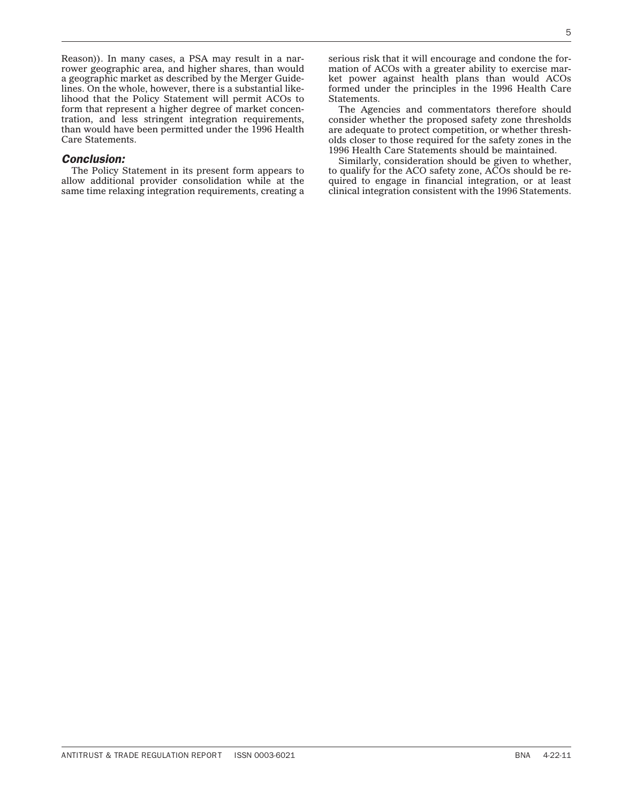Reason)). In many cases, a PSA may result in a narrower geographic area, and higher shares, than would a geographic market as described by the Merger Guidelines. On the whole, however, there is a substantial likelihood that the Policy Statement will permit ACOs to form that represent a higher degree of market concentration, and less stringent integration requirements, than would have been permitted under the 1996 Health Care Statements.

#### *Conclusion:*

The Policy Statement in its present form appears to allow additional provider consolidation while at the same time relaxing integration requirements, creating a

serious risk that it will encourage and condone the formation of ACOs with a greater ability to exercise market power against health plans than would ACOs formed under the principles in the 1996 Health Care Statements.

The Agencies and commentators therefore should consider whether the proposed safety zone thresholds are adequate to protect competition, or whether thresholds closer to those required for the safety zones in the 1996 Health Care Statements should be maintained.

Similarly, consideration should be given to whether, to qualify for the ACO safety zone, ACOs should be required to engage in financial integration, or at least clinical integration consistent with the 1996 Statements.